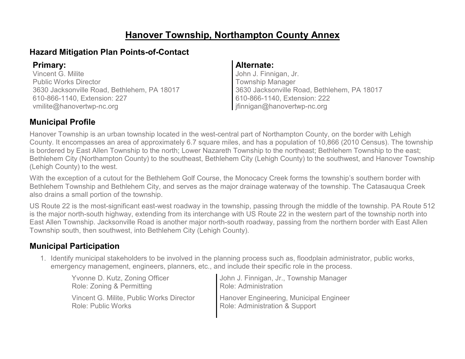### **Hanover Township, Northampton County Annex**

### **Hazard Mitigation Plan Points-of-Contact**

Vincent G. Milite Public Works Director 3630 Jacksonville Road, Bethlehem, PA 18017 610-866-1140, Extension: 227 vmilite@hanovertwp-nc.org

#### **Primary: Alternate:**

John J. Finnigan, Jr. Township Manager 3630 Jacksonville Road, Bethlehem, PA 18017 610-866-1140, Extension: 222 jfinnigan@hanovertwp-nc.org

### **Municipal Profile**

Hanover Township is an urban township located in the west-central part of Northampton County, on the border with Lehigh County. It encompasses an area of approximately 6.7 square miles, and has a population of 10,866 (2010 Census). The township is bordered by East Allen Township to the north; Lower Nazareth Township to the northeast; Bethlehem Township to the east; Bethlehem City (Northampton County) to the southeast, Bethlehem City (Lehigh County) to the southwest, and Hanover Township (Lehigh County) to the west.

With the exception of a cutout for the Bethlehem Golf Course, the Monocacy Creek forms the township's southern border with Bethlehem Township and Bethlehem City, and serves as the major drainage waterway of the township. The Catasauqua Creek also drains a small portion of the township.

US Route 22 is the most-significant east-west roadway in the township, passing through the middle of the township. PA Route 512 is the major north-south highway, extending from its interchange with US Route 22 in the western part of the township north into East Allen Township. Jacksonville Road is another major north-south roadway, passing from the northern border with East Allen Township south, then southwest, into Bethlehem City (Lehigh County).

### **Municipal Participation**

1. Identify municipal stakeholders to be involved in the planning process such as, floodplain administrator, public works, emergency management, engineers, planners, etc., and include their specific role in the process.

| Yvonne D. Kutz, Zoning Officer           | John J. Finnigan, Jr., Township Manager |
|------------------------------------------|-----------------------------------------|
| Role: Zoning & Permitting                | Role: Administration                    |
| Vincent G. Milite, Public Works Director | Hanover Engineering, Municipal Engineer |
| Role: Public Works                       | Role: Administration & Support          |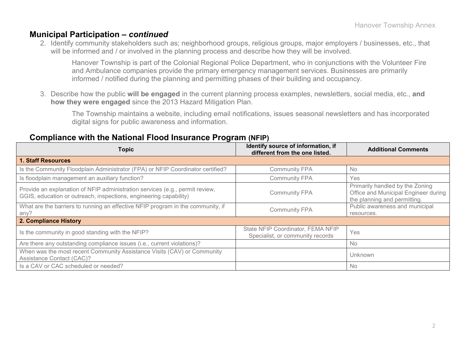#### **Municipal Participation –** *continued*

2. Identify community stakeholders such as; neighborhood groups, religious groups, major employers / businesses, etc., that will be informed and / or involved in the planning process and describe how they will be involved.

Hanover Township is part of the Colonial Regional Police Department, who in conjunctions with the Volunteer Fire and Ambulance companies provide the primary emergency management services. Businesses are primarily informed / notified during the planning and permitting phases of their building and occupancy.

3. Describe how the public **will be engaged** in the current planning process examples, newsletters, social media, etc., **and how they were engaged** since the 2013 Hazard Mitigation Plan.

The Township maintains a website, including email notifications, issues seasonal newsletters and has incorporated digital signs for public awareness and information.

#### **Compliance with the National Flood Insurance Program (NFIP)**

| <b>Topic</b>                                                                                                                                      | Identify source of information, if<br>different from the one listed.  | <b>Additional Comments</b>                                                                              |
|---------------------------------------------------------------------------------------------------------------------------------------------------|-----------------------------------------------------------------------|---------------------------------------------------------------------------------------------------------|
| <b>1. Staff Resources</b>                                                                                                                         |                                                                       |                                                                                                         |
| Is the Community Floodplain Administrator (FPA) or NFIP Coordinator certified?                                                                    | <b>Community FPA</b>                                                  | <b>No</b>                                                                                               |
| Is floodplain management an auxiliary function?                                                                                                   | <b>Community FPA</b>                                                  | <b>Yes</b>                                                                                              |
| Provide an explanation of NFIP administration services (e.g., permit review,<br>GGIS, education or outreach, inspections, engineering capability) | <b>Community FPA</b>                                                  | Primarily handled by the Zoning<br>Office and Municipal Engineer during<br>the planning and permitting. |
| What are the barriers to running an effective NFIP program in the community, if<br>any?                                                           | <b>Community FPA</b>                                                  | Public awareness and municipal<br>resources.                                                            |
| 2. Compliance History                                                                                                                             |                                                                       |                                                                                                         |
| Is the community in good standing with the NFIP?                                                                                                  | State NFIP Coordinator, FEMA NFIP<br>Specialist, or community records | Yes                                                                                                     |
| Are there any outstanding compliance issues (i.e., current violations)?                                                                           |                                                                       | N <sub>o</sub>                                                                                          |
| When was the most recent Community Assistance Visits (CAV) or Community<br>Assistance Contact (CAC)?                                              |                                                                       | Unknown                                                                                                 |
| Is a CAV or CAC scheduled or needed?                                                                                                              |                                                                       | <b>No</b>                                                                                               |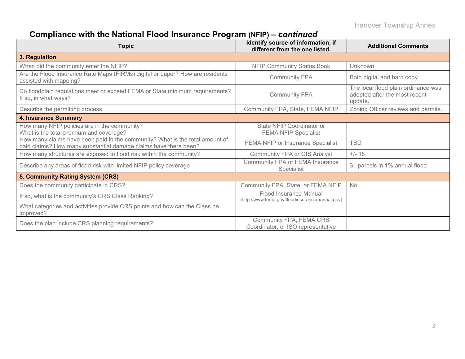### **Compliance with the National Flood Insurance Program (NFIP)** *– continued*

| <b>Topic</b>                                                                                                                                     | Identify source of information, if<br>different from the one listed.     | <b>Additional Comments</b>                                                      |
|--------------------------------------------------------------------------------------------------------------------------------------------------|--------------------------------------------------------------------------|---------------------------------------------------------------------------------|
| 3. Regulation                                                                                                                                    |                                                                          |                                                                                 |
| When did the community enter the NFIP?                                                                                                           | <b>NFIP Community Status Book</b>                                        | Unknown                                                                         |
| Are the Flood Insurance Rate Maps (FIRMs) digital or paper? How are residents<br>assisted with mapping?                                          | <b>Community FPA</b>                                                     | Both digital and hard copy                                                      |
| Do floodplain regulations meet or exceed FEMA or State minimum requirements?<br>If so, in what ways?                                             | <b>Community FPA</b>                                                     | The local flood plain ordinance was<br>adopted after the most recent<br>update. |
| Describe the permitting process                                                                                                                  | Community FPA, State, FEMA NFIP                                          | Zoning Officer reviews and permits.                                             |
| <b>4. Insurance Summary</b>                                                                                                                      |                                                                          |                                                                                 |
| How many NFIP policies are in the community?<br>What is the total premium and coverage?                                                          | State NFIP Coordinator or<br><b>FEMA NFIP Specialist</b>                 |                                                                                 |
| How many claims have been paid in the community? What is the total amount of<br>paid claims? How many substantial damage claims have there been? | FEMA NFIP or Insurance Specialist                                        | <b>TBD</b>                                                                      |
| How many structures are exposed to flood risk within the community?                                                                              | <b>Community FPA or GIS Analyst</b>                                      | $+/- 18$                                                                        |
| Describe any areas of flood risk with limited NFIP policy coverage                                                                               | Community FPA or FEMA Insurance<br>Specialist                            | 31 parcels in 1% annual flood                                                   |
| 5. Community Rating System (CRS)                                                                                                                 |                                                                          |                                                                                 |
| Does the community participate in CRS?                                                                                                           | Community FPA, State, or FEMA NFIP                                       | <b>No</b>                                                                       |
| If so, what is the community's CRS Class Ranking?                                                                                                | Flood Insurance Manual<br>(http://www.fema.gov/floodinsurancemanual.gov) |                                                                                 |
| What categories and activities provide CRS points and how can the Class be<br>improved?                                                          |                                                                          |                                                                                 |
| Does the plan include CRS planning requirements?                                                                                                 | Community FPA, FEMA CRS<br>Coordinator, or ISO representative            |                                                                                 |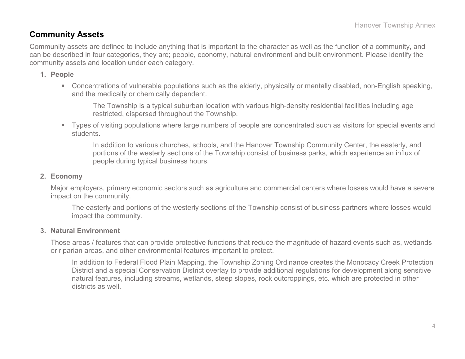### **Community Assets**

Community assets are defined to include anything that is important to the character as well as the function of a community, and can be described in four categories, they are; people, economy, natural environment and built environment. Please identify the community assets and location under each category.

#### **1. People**

 Concentrations of vulnerable populations such as the elderly, physically or mentally disabled, non-English speaking, and the medically or chemically dependent.

The Township is a typical suburban location with various high-density residential facilities including age restricted, dispersed throughout the Township.

 Types of visiting populations where large numbers of people are concentrated such as visitors for special events and students.

In addition to various churches, schools, and the Hanover Township Community Center, the easterly, and portions of the westerly sections of the Township consist of business parks, which experience an influx of people during typical business hours.

#### **2. Economy**

Major employers, primary economic sectors such as agriculture and commercial centers where losses would have a severe impact on the community.

The easterly and portions of the westerly sections of the Township consist of business partners where losses would impact the community.

#### **3. Natural Environment**

Those areas / features that can provide protective functions that reduce the magnitude of hazard events such as, wetlands or riparian areas, and other environmental features important to protect.

In addition to Federal Flood Plain Mapping, the Township Zoning Ordinance creates the Monocacy Creek Protection District and a special Conservation District overlay to provide additional regulations for development along sensitive natural features, including streams, wetlands, steep slopes, rock outcroppings, etc. which are protected in other districts as well.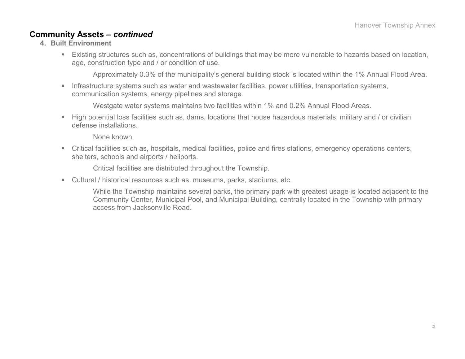### **Community Assets –** *continued*

- **4. Built Environment**
	- Existing structures such as, concentrations of buildings that may be more vulnerable to hazards based on location, age, construction type and / or condition of use.

Approximately 0.3% of the municipality's general building stock is located within the 1% Annual Flood Area.

**Infrastructure systems such as water and wastewater facilities, power utilities, transportation systems,** communication systems, energy pipelines and storage.

Westgate water systems maintains two facilities within 1% and 0.2% Annual Flood Areas.

High potential loss facilities such as, dams, locations that house hazardous materials, military and / or civilian defense installations.

None known

 Critical facilities such as, hospitals, medical facilities, police and fires stations, emergency operations centers, shelters, schools and airports / heliports.

Critical facilities are distributed throughout the Township.

- Cultural / historical resources such as, museums, parks, stadiums, etc.
	- While the Township maintains several parks, the primary park with greatest usage is located adjacent to the Community Center, Municipal Pool, and Municipal Building, centrally located in the Township with primary access from Jacksonville Road.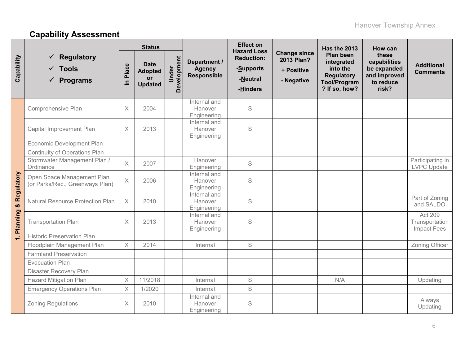# **Capability Assessment**

|                          |                                                                  |                         | <b>Status</b>                                         |                      |                                                     | <b>Effect on</b><br><b>Hazard Loss</b>                 |                                                               | <b>Has the 2013</b>                                                                                     | How can                                                                    |                                                 |
|--------------------------|------------------------------------------------------------------|-------------------------|-------------------------------------------------------|----------------------|-----------------------------------------------------|--------------------------------------------------------|---------------------------------------------------------------|---------------------------------------------------------------------------------------------------------|----------------------------------------------------------------------------|-------------------------------------------------|
| Capability               | <b>Regulatory</b><br>$\checkmark$ Tools<br>$\checkmark$ Programs | Place<br>$\mathbf{a}$   | <b>Date</b><br><b>Adopted</b><br>or<br><b>Updated</b> | Development<br>Under | Department /<br><b>Agency</b><br><b>Responsible</b> | <b>Reduction:</b><br>-Supports<br>-Neutral<br>-Hinders | <b>Change since</b><br>2013 Plan?<br>+ Positive<br>- Negative | <b>Plan been</b><br>integrated<br>into the<br><b>Regulatory</b><br><b>Tool/Program</b><br>? If so, how? | these<br>capabilities<br>be expanded<br>and improved<br>to reduce<br>risk? | <b>Additional</b><br><b>Comments</b>            |
|                          | Comprehensive Plan                                               | $\times$                | 2004                                                  |                      | Internal and<br>Hanover<br>Engineering              | S                                                      |                                                               |                                                                                                         |                                                                            |                                                 |
|                          | Capital Improvement Plan                                         | X                       | 2013                                                  |                      | Internal and<br>Hanover<br>Engineering              | $\mathbb S$                                            |                                                               |                                                                                                         |                                                                            |                                                 |
|                          | Economic Development Plan                                        |                         |                                                       |                      |                                                     |                                                        |                                                               |                                                                                                         |                                                                            |                                                 |
|                          | <b>Continuity of Operations Plan</b>                             |                         |                                                       |                      |                                                     |                                                        |                                                               |                                                                                                         |                                                                            |                                                 |
|                          | Stormwater Management Plan /<br>Ordinance                        | $\times$                | 2007                                                  |                      | Hanover<br>Engineering                              | $\mathbb S$                                            |                                                               |                                                                                                         |                                                                            | Participating in<br><b>LVPC</b> Update          |
|                          | Open Space Management Plan<br>(or Parks/Rec., Greenways Plan)    | $\times$                | 2006                                                  |                      | Internal and<br>Hanover<br>Engineering              | S                                                      |                                                               |                                                                                                         |                                                                            |                                                 |
|                          | <b>Natural Resource Protection Plan</b>                          | $\times$                | 2010                                                  |                      | Internal and<br>Hanover<br>Engineering              | $\mathbb S$                                            |                                                               |                                                                                                         |                                                                            | Part of Zoning<br>and SALDO                     |
| Planning & Regulatory    | <b>Transportation Plan</b>                                       | X                       | 2013                                                  |                      | Internal and<br>Hanover<br>Engineering              | $\mathbb S$                                            |                                                               |                                                                                                         |                                                                            | <b>Act 209</b><br>Transportation<br>Impact Fees |
| $\overline{\phantom{0}}$ | <b>Historic Preservation Plan</b>                                |                         |                                                       |                      |                                                     |                                                        |                                                               |                                                                                                         |                                                                            |                                                 |
|                          | Floodplain Management Plan                                       | $\times$                | 2014                                                  |                      | Internal                                            | $\mathsf S$                                            |                                                               |                                                                                                         |                                                                            | Zoning Officer                                  |
|                          | <b>Farmland Preservation</b>                                     |                         |                                                       |                      |                                                     |                                                        |                                                               |                                                                                                         |                                                                            |                                                 |
|                          | <b>Evacuation Plan</b>                                           |                         |                                                       |                      |                                                     |                                                        |                                                               |                                                                                                         |                                                                            |                                                 |
|                          | <b>Disaster Recovery Plan</b>                                    |                         |                                                       |                      |                                                     |                                                        |                                                               |                                                                                                         |                                                                            |                                                 |
|                          | <b>Hazard Mitigation Plan</b>                                    | $\times$                | 11/2018                                               |                      | Internal                                            | $\mathsf S$                                            |                                                               | N/A                                                                                                     |                                                                            | Updating                                        |
|                          | <b>Emergency Operations Plan</b>                                 | $\overline{\mathsf{X}}$ | 1/2020                                                |                      | Internal                                            | S                                                      |                                                               |                                                                                                         |                                                                            |                                                 |
|                          | <b>Zoning Regulations</b>                                        | X                       | 2010                                                  |                      | Internal and<br>Hanover<br>Engineering              | $\mathbb S$                                            |                                                               |                                                                                                         |                                                                            | Always<br>Updating                              |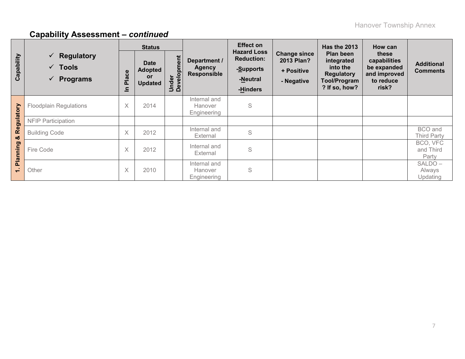|                          |                                                                        | <b>Status</b>        |                                                              |                      |                                                     | <b>Effect on</b>                                                             |                                                               | Has the 2013                                                                                     | How can                                                                    |                                      |
|--------------------------|------------------------------------------------------------------------|----------------------|--------------------------------------------------------------|----------------------|-----------------------------------------------------|------------------------------------------------------------------------------|---------------------------------------------------------------|--------------------------------------------------------------------------------------------------|----------------------------------------------------------------------------|--------------------------------------|
| Capability               | $\checkmark$ Regulatory<br>$\checkmark$ Tools<br>$\checkmark$ Programs | ace<br><u>ۃ</u><br>르 | <b>Date</b><br><b>Adopted</b><br><b>or</b><br><b>Updated</b> | Under<br>Development | Department /<br><b>Agency</b><br><b>Responsible</b> | <b>Hazard Loss</b><br><b>Reduction:</b><br>-Supports<br>-Neutral<br>-Hinders | <b>Change since</b><br>2013 Plan?<br>+ Positive<br>- Negative | Plan been<br>integrated<br>into the<br><b>Regulatory</b><br><b>Tool/Program</b><br>? If so, how? | these<br>capabilities<br>be expanded<br>and improved<br>to reduce<br>risk? | <b>Additional</b><br><b>Comments</b> |
| Regulatory               | <b>Floodplain Regulations</b>                                          | X                    | 2014                                                         |                      | Internal and<br>Hanover<br>Engineering              | S                                                                            |                                                               |                                                                                                  |                                                                            |                                      |
|                          | <b>NFIP Participation</b>                                              |                      |                                                              |                      |                                                     |                                                                              |                                                               |                                                                                                  |                                                                            |                                      |
| ೲ                        | <b>Building Code</b>                                                   | X                    | 2012                                                         |                      | Internal and<br>External                            | S                                                                            |                                                               |                                                                                                  |                                                                            | BCO and<br><b>Third Party</b>        |
| Planning                 | Fire Code                                                              | X                    | 2012                                                         |                      | Internal and<br>External                            | S                                                                            |                                                               |                                                                                                  |                                                                            | BCO, VFC<br>and Third<br>Party       |
| $\overline{\phantom{0}}$ | Other                                                                  | X                    | 2010                                                         |                      | Internal and<br>Hanover<br>Engineering              | S                                                                            |                                                               |                                                                                                  |                                                                            | SALDO-<br>Always<br>Updating         |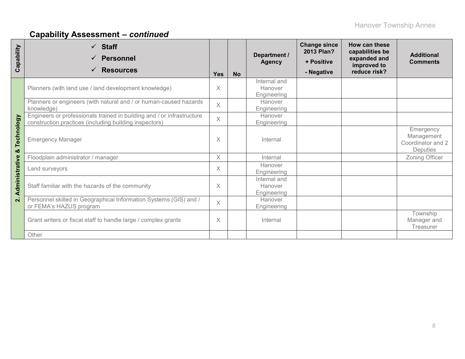| Capability      | $\checkmark$ Staff<br><b>Personnel</b><br><b>Resources</b><br>✓                                                                  | <b>Yes</b>   | <b>No</b> | Department /<br><b>Agency</b>          | <b>Change since</b><br>2013 Plan?<br>+ Positive<br>- Negative | How can these<br>capabilities be<br>expanded and<br>improved to<br>reduce risk? | <b>Additional</b><br><b>Comments</b>                            |
|-----------------|----------------------------------------------------------------------------------------------------------------------------------|--------------|-----------|----------------------------------------|---------------------------------------------------------------|---------------------------------------------------------------------------------|-----------------------------------------------------------------|
|                 | Planners (with land use / land development knowledge)                                                                            | $\times$     |           | Internal and<br>Hanover<br>Engineering |                                                               |                                                                                 |                                                                 |
|                 | Planners or engineers (with natural and / or human-caused hazards<br>knowledge)                                                  | $\times$     |           | Hanover<br>Engineering                 |                                                               |                                                                                 |                                                                 |
|                 | Engineers or professionals trained in building and / or infrastructure<br>construction practices (including building inspectors) | $\mathsf{X}$ |           | Hanover<br>Engineering                 |                                                               |                                                                                 |                                                                 |
| Technology<br>ೲ | <b>Emergency Manager</b>                                                                                                         | $\times$     |           | Internal                               |                                                               |                                                                                 | Emergency<br>Management<br>Coordinator and 2<br><b>Deputies</b> |
|                 | Floodplain administrator / manager                                                                                               | $\times$     |           | Internal                               |                                                               |                                                                                 | Zoning Officer                                                  |
|                 | Land surveyors                                                                                                                   |              |           | Hanover<br>Engineering                 |                                                               |                                                                                 |                                                                 |
| Administrative  | Staff familiar with the hazards of the community                                                                                 | $\times$     |           | Internal and<br>Hanover<br>Engineering |                                                               |                                                                                 |                                                                 |
| $\mathbf{N}$    | Personnel skilled in Geographical Information Systems (GIS) and /<br>or FEMA's HAZUS program                                     |              |           | Hanover<br>Engineering                 |                                                               |                                                                                 |                                                                 |
|                 | Grant writers or fiscal staff to handle large / complex grants                                                                   |              |           | Internal                               |                                                               |                                                                                 | Township<br>Manager and<br>Treasurer                            |
|                 | Other                                                                                                                            |              |           |                                        |                                                               |                                                                                 |                                                                 |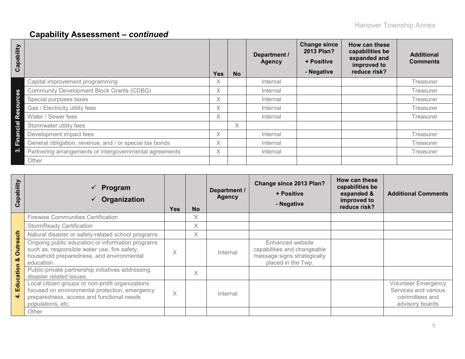| Capability               |                                                         | <b>Yes</b> | <b>No</b> | Department /<br><b>Agency</b> | <b>Change since</b><br>2013 Plan?<br>+ Positive<br>- Negative | How can these<br>capabilities be<br>expanded and<br>improved to<br>reduce risk? | <b>Additional</b><br><b>Comments</b> |
|--------------------------|---------------------------------------------------------|------------|-----------|-------------------------------|---------------------------------------------------------------|---------------------------------------------------------------------------------|--------------------------------------|
|                          | Capital improvement programming                         | X.         |           | Internal                      |                                                               |                                                                                 | <b>Treasurer</b>                     |
| 8g                       | <b>Community Development Block Grants (CDBG)</b>        | X.         |           | Internal                      |                                                               |                                                                                 | Treasurer                            |
| $\bullet$<br><b>Suro</b> | Special purposes taxes                                  | X.         |           | Internal                      |                                                               |                                                                                 | Treasurer                            |
|                          | Gas / Electricity utility fees                          | X.         |           | Internal                      |                                                               |                                                                                 | Treasurer                            |
| Res                      | Water / Sewer fees                                      | X.         |           | Internal                      |                                                               |                                                                                 | Treasurer                            |
| cial                     | Stormwater utility fees                                 |            | X.        |                               |                                                               |                                                                                 |                                      |
| $\tilde{a}$              | Development impact fees                                 | X.         |           | Internal                      |                                                               |                                                                                 | Treasurer                            |
| Ë                        | General obligation, revenue, and / or special tax bonds | X.         |           | Internal                      |                                                               |                                                                                 | Treasurer                            |
| ო                        | Partnering arrangements or intergovernmental agreements | X.         |           | Internal                      |                                                               |                                                                                 | Treasurer                            |
|                          | Other                                                   |            |           |                               |                                                               |                                                                                 |                                      |

| Capability            | $\sqrt{P}$ Program<br>Organization                                                                                                                                   | <b>Yes</b> | <b>No</b> | Department /<br><b>Agency</b> | Change since 2013 Plan?<br>+ Positive<br>- Negative                                                  | How can these<br>capabilities be<br>expanded &<br>improved to<br>reduce risk? | <b>Additional Comments</b>                                                              |
|-----------------------|----------------------------------------------------------------------------------------------------------------------------------------------------------------------|------------|-----------|-------------------------------|------------------------------------------------------------------------------------------------------|-------------------------------------------------------------------------------|-----------------------------------------------------------------------------------------|
|                       | <b>Firewise Communities Certification</b>                                                                                                                            |            | Χ         |                               |                                                                                                      |                                                                               |                                                                                         |
|                       | <b>StormReady Certification</b>                                                                                                                                      |            | X         |                               |                                                                                                      |                                                                               |                                                                                         |
|                       | Natural disaster or safety-related school programs                                                                                                                   |            | Χ         |                               |                                                                                                      |                                                                               |                                                                                         |
| <b>Outreach</b><br>οð | Ongoing public education or information programs<br>such as, responsible water use, fire safety,<br>household preparedness, and environmental<br>education.          | $\times$   |           | Internal                      | Enhanced website<br>capabilities and changeable<br>message signs strategically<br>placed in the Twp. |                                                                               |                                                                                         |
| Education             | Public-private partnership initiatives addressing<br>disaster related issues.                                                                                        |            | Χ         |                               |                                                                                                      |                                                                               |                                                                                         |
|                       | Local citizen groups or non-profit organizations<br>focused on environmental protection, emergency<br>preparedness, access and functional needs<br>populations, etc. | $\times$   |           | Internal                      |                                                                                                      |                                                                               | <b>Volunteer Emergency</b><br>Services and various<br>committees and<br>advisory boards |
|                       | Other                                                                                                                                                                |            |           |                               |                                                                                                      |                                                                               |                                                                                         |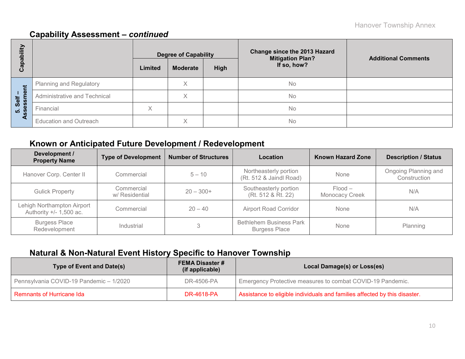| bility              |                               |         | <b>Degree of Capability</b> |      | Change since the 2013 Hazard<br><b>Mitigation Plan?</b> | <b>Additional Comments</b> |  |
|---------------------|-------------------------------|---------|-----------------------------|------|---------------------------------------------------------|----------------------------|--|
| Capat               |                               | Limited | <b>Moderate</b>             | High | If so, how?                                             |                            |  |
|                     | Planning and Regulatory       |         | Χ                           |      | <b>No</b>                                               |                            |  |
| ment<br>Self        | Administrative and Technical  |         | Χ                           |      | <b>No</b>                                               |                            |  |
| 5. Seis<br><b>S</b> | Financial                     | X       |                             |      | No                                                      |                            |  |
| ∢                   | <b>Education and Outreach</b> |         | X                           |      | <b>No</b>                                               |                            |  |

### **Known or Anticipated Future Development / Redevelopment**

| Development /<br><b>Property Name</b>                   | <b>Type of Development</b>                  | <b>Number of Structures</b> | Location                                               | <b>Known Hazard Zone</b>    | <b>Description / Status</b>          |
|---------------------------------------------------------|---------------------------------------------|-----------------------------|--------------------------------------------------------|-----------------------------|--------------------------------------|
| Hanover Corp. Center II                                 | Commercial                                  | $5 - 10$                    | Northeasterly portion<br>(Rt. 512 & Jaindl Road)       | None                        | Ongoing Planning and<br>Construction |
| <b>Gulick Property</b>                                  | Commercial<br>$20 - 300+$<br>w/ Residential |                             | Southeasterly portion<br>(Rt. 512 & Rt. 22)            | $Flood -$<br>Monocacy Creek | N/A                                  |
| Lehigh Northampton Airport<br>Authority $+/- 1,500$ ac. | Commercial<br>$20 - 40$                     |                             | <b>Airport Road Corridor</b>                           | None                        | N/A                                  |
| <b>Burgess Place</b><br>Redevelopment                   | Industrial                                  | 3                           | <b>Bethlehem Business Park</b><br><b>Burgess Place</b> | None                        | Planning                             |

### **Natural & Non-Natural Event History Specific to Hanover Township**

| <b>Type of Event and Date(s)</b>        | <b>FEMA Disaster #</b><br>(if applicable) | Local Damage(s) or Loss(es)                                                |
|-----------------------------------------|-------------------------------------------|----------------------------------------------------------------------------|
| Pennsylvania COVID-19 Pandemic - 1/2020 | DR-4506-PA                                | Emergency Protective measures to combat COVID-19 Pandemic.                 |
| <b>Remnants of Hurricane Ida</b>        | DR-4618-PA                                | Assistance to eligible individuals and families affected by this disaster. |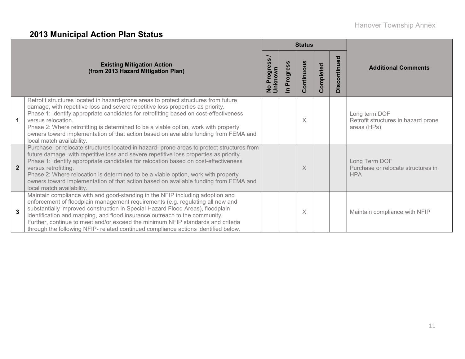# **2013 Municipal Action Plan Status**

|                |                                                                                                                                                                                                                                                                                                                                                                                                                                                                                                               |                               |                                     | <b>Status</b> |           |              |                                                                     |
|----------------|---------------------------------------------------------------------------------------------------------------------------------------------------------------------------------------------------------------------------------------------------------------------------------------------------------------------------------------------------------------------------------------------------------------------------------------------------------------------------------------------------------------|-------------------------------|-------------------------------------|---------------|-----------|--------------|---------------------------------------------------------------------|
|                | <b>Existing Mitigation Action</b><br>(from 2013 Hazard Mitigation Plan)                                                                                                                                                                                                                                                                                                                                                                                                                                       | No Progress<br><b>Unknown</b> | Progress<br>$\overline{\mathbf{z}}$ | Continuous    | Completed | Discontinued | <b>Additional Comments</b>                                          |
|                | Retrofit structures located in hazard-prone areas to protect structures from future<br>damage, with repetitive loss and severe repetitive loss properties as priority.<br>Phase 1: Identify appropriate candidates for retrofitting based on cost-effectiveness<br>versus relocation.<br>Phase 2: Where retrofitting is determined to be a viable option, work with property<br>owners toward implementation of that action based on available funding from FEMA and<br>local match availability.             |                               |                                     | X             |           |              | Long term DOF<br>Retrofit structures in hazard prone<br>areas (HPs) |
| $\overline{2}$ | Purchase, or relocate structures located in hazard- prone areas to protect structures from<br>future damage, with repetitive loss and severe repetitive loss properties as priority.<br>Phase 1: Identify appropriate candidates for relocation based on cost-effectiveness<br>versus retrofitting.<br>Phase 2: Where relocation is determined to be a viable option, work with property<br>owners toward implementation of that action based on available funding from FEMA and<br>local match availability. |                               |                                     | X             |           |              | Long Term DOF<br>Purchase or relocate structures in<br><b>HPA</b>   |
| 3              | Maintain compliance with and good-standing in the NFIP including adoption and<br>enforcement of floodplain management requirements (e.g. regulating all new and<br>substantially improved construction in Special Hazard Flood Areas), floodplain<br>identification and mapping, and flood insurance outreach to the community.<br>Further, continue to meet and/or exceed the minimum NFIP standards and criteria<br>through the following NFIP- related continued compliance actions identified below.      |                               |                                     | X             |           |              | Maintain compliance with NFIP                                       |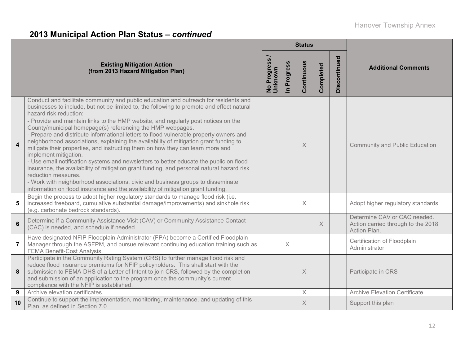# **2013 Municipal Action Plan Status –** *continued*

|                         |                                                                                                                                                                                                                                                                                                                                                                                                                                                                                                                                                                                                                                                                                                                                                                                                                                                                                                                                                                                                                                                    |                          |                            | <b>Status</b> |           |              |                                                                                    |  |
|-------------------------|----------------------------------------------------------------------------------------------------------------------------------------------------------------------------------------------------------------------------------------------------------------------------------------------------------------------------------------------------------------------------------------------------------------------------------------------------------------------------------------------------------------------------------------------------------------------------------------------------------------------------------------------------------------------------------------------------------------------------------------------------------------------------------------------------------------------------------------------------------------------------------------------------------------------------------------------------------------------------------------------------------------------------------------------------|--------------------------|----------------------------|---------------|-----------|--------------|------------------------------------------------------------------------------------|--|
|                         | <b>Existing Mitigation Action</b><br>(from 2013 Hazard Mitigation Plan)                                                                                                                                                                                                                                                                                                                                                                                                                                                                                                                                                                                                                                                                                                                                                                                                                                                                                                                                                                            | No Progress /<br>Unknown | Progress<br>$\overline{a}$ | Continuous    | Completed | Discontinued | <b>Additional Comments</b>                                                         |  |
| $\overline{\mathbf{4}}$ | Conduct and facilitate community and public education and outreach for residents and<br>businesses to include, but not be limited to, the following to promote and effect natural<br>hazard risk reduction:<br>- Provide and maintain links to the HMP website, and regularly post notices on the<br>County/municipal homepage(s) referencing the HMP webpages.<br>- Prepare and distribute informational letters to flood vulnerable property owners and<br>neighborhood associations, explaining the availability of mitigation grant funding to<br>mitigate their properties, and instructing them on how they can learn more and<br>implement mitigation.<br>- Use email notification systems and newsletters to better educate the public on flood<br>insurance, the availability of mitigation grant funding, and personal natural hazard risk<br>reduction measures.<br>- Work with neighborhood associations, civic and business groups to disseminate<br>information on flood insurance and the availability of mitigation grant funding. |                          |                            | $\times$      |           |              | <b>Community and Public Education</b>                                              |  |
| 5                       | Begin the process to adopt higher regulatory standards to manage flood risk (i.e.<br>increased freeboard, cumulative substantial damage/improvements) and sinkhole risk<br>(e.g. carbonate bedrock standards).                                                                                                                                                                                                                                                                                                                                                                                                                                                                                                                                                                                                                                                                                                                                                                                                                                     |                          |                            | $\times$      |           |              | Adopt higher regulatory standards                                                  |  |
| $6\phantom{a}$          | Determine if a Community Assistance Visit (CAV) or Community Assistance Contact<br>(CAC) is needed, and schedule if needed.                                                                                                                                                                                                                                                                                                                                                                                                                                                                                                                                                                                                                                                                                                                                                                                                                                                                                                                        |                          |                            |               | $\times$  |              | Determine CAV or CAC needed.<br>Action carried through to the 2018<br>Action Plan. |  |
| $\overline{7}$          | Have designated NFIP Floodplain Administrator (FPA) become a Certified Floodplain<br>Manager through the ASFPM, and pursue relevant continuing education training such as<br><b>FEMA Benefit-Cost Analysis.</b>                                                                                                                                                                                                                                                                                                                                                                                                                                                                                                                                                                                                                                                                                                                                                                                                                                    |                          | $\times$                   |               |           |              | Certification of Floodplain<br>Administrator                                       |  |
| 8                       | Participate in the Community Rating System (CRS) to further manage flood risk and<br>reduce flood insurance premiums for NFIP policyholders. This shall start with the<br>submission to FEMA-DHS of a Letter of Intent to join CRS, followed by the completion<br>and submission of an application to the program once the community's current<br>compliance with the NFIP is established.                                                                                                                                                                                                                                                                                                                                                                                                                                                                                                                                                                                                                                                         |                          |                            | $\times$      |           |              | Participate in CRS                                                                 |  |
| 9                       | Archive elevation certificates                                                                                                                                                                                                                                                                                                                                                                                                                                                                                                                                                                                                                                                                                                                                                                                                                                                                                                                                                                                                                     |                          |                            | $\times$      |           |              | <b>Archive Elevation Certificate</b>                                               |  |
| 10                      | Continue to support the implementation, monitoring, maintenance, and updating of this<br>Plan, as defined in Section 7.0                                                                                                                                                                                                                                                                                                                                                                                                                                                                                                                                                                                                                                                                                                                                                                                                                                                                                                                           |                          |                            | $\times$      |           |              | Support this plan                                                                  |  |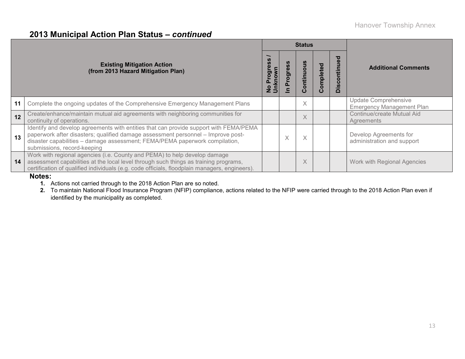### **2013 Municipal Action Plan Status –** *continued*

|    |                                                                                                                                                                                                                                                                                         |                                                      |        | <b>Status</b>        |           |                               |                                                          |  |
|----|-----------------------------------------------------------------------------------------------------------------------------------------------------------------------------------------------------------------------------------------------------------------------------------------|------------------------------------------------------|--------|----------------------|-----------|-------------------------------|----------------------------------------------------------|--|
|    | <b>Existing Mitigation Action</b><br>(from 2013 Hazard Mitigation Plan)                                                                                                                                                                                                                 | <b>SD</b><br>၉<br>rog<br>knov<br>$\mathbf{a}$<br>ិ 5 | Ō<br>O | ontinuous<br>$\circ$ | Completed | ಠ<br>ntin<br>$\sigma$<br>Disc | <b>Additional Comments</b>                               |  |
| 11 | Complete the ongoing updates of the Comprehensive Emergency Management Plans                                                                                                                                                                                                            |                                                      |        | $\times$             |           |                               | Update Comprehensive<br><b>Emergency Management Plan</b> |  |
| 12 | Create/enhance/maintain mutual aid agreements with neighboring communities for<br>continuity of operations.                                                                                                                                                                             |                                                      |        | X                    |           |                               | Continue/create Mutual Aid<br>Agreements                 |  |
| 13 | Identify and develop agreements with entities that can provide support with FEMA/PEMA<br>paperwork after disasters; qualified damage assessment personnel - Improve post-<br>disaster capabilities - damage assessment; FEMA/PEMA paperwork compilation,<br>submissions, record-keeping |                                                      | Ā      | X                    |           |                               | Develop Agreements for<br>administration and support     |  |
| 14 | Work with regional agencies (i.e. County and PEMA) to help develop damage<br>assessment capabilities at the local level through such things as training programs,<br>certification of qualified individuals (e.g. code officials, floodplain managers, engineers).                      |                                                      |        | X                    |           |                               | Work with Regional Agencies                              |  |

#### **Notes:**

**1.** Actions not carried through to the 2018 Action Plan are so noted.

**2.** To maintain National Flood Insurance Program (NFIP) compliance, actions related to the NFIP were carried through to the 2018 Action Plan even if identified by the municipality as completed.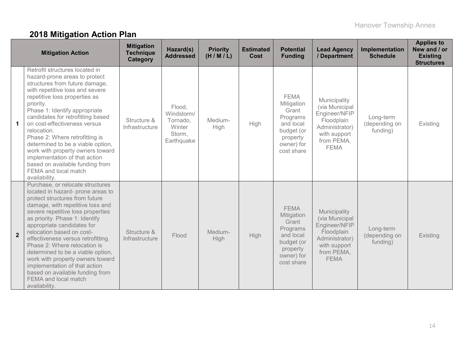# **2018 Mitigation Action Plan**

|                      | <b>Mitigation Action</b>                                                                                                                                                                                                                                                                                                                                                                                                                                                                                                                  | <b>Mitigation</b><br><b>Technique</b><br><b>Category</b> | Hazard(s)<br><b>Addressed</b>                                      | <b>Priority</b><br>(H/M/L) | <b>Estimated</b><br><b>Cost</b> | <b>Potential</b><br><b>Funding</b>                                                                                | <b>Lead Agency</b><br>/ Department                                                                                           | Implementation<br><b>Schedule</b>      | <b>Applies to</b><br>New and / or<br><b>Existing</b><br><b>Structures</b> |
|----------------------|-------------------------------------------------------------------------------------------------------------------------------------------------------------------------------------------------------------------------------------------------------------------------------------------------------------------------------------------------------------------------------------------------------------------------------------------------------------------------------------------------------------------------------------------|----------------------------------------------------------|--------------------------------------------------------------------|----------------------------|---------------------------------|-------------------------------------------------------------------------------------------------------------------|------------------------------------------------------------------------------------------------------------------------------|----------------------------------------|---------------------------------------------------------------------------|
| $\blacktriangleleft$ | Retrofit structures located in<br>hazard-prone areas to protect<br>structures from future damage,<br>with repetitive loss and severe<br>repetitive loss properties as<br>priority.<br>Phase 1: Identify appropriate<br>candidates for retrofitting based<br>on cost-effectiveness versus<br>relocation.<br>Phase 2: Where retrofitting is<br>determined to be a viable option,<br>work with property owners toward<br>implementation of that action<br>based on available funding from<br>FEMA and local match<br>availability.           | Structure &<br>Infrastructure                            | Flood,<br>Windstorm/<br>Tornado,<br>Winter<br>Storm,<br>Earthquake | Medium-<br>High            | High                            | <b>FEMA</b><br>Mitigation<br>Grant<br>Programs<br>and local<br>budget (or<br>property<br>owner) for<br>cost share | Municipality<br>(via Municipal<br>Engineer/NFIP<br>Floodplain<br>Administrator)<br>with support<br>from PEMA,<br><b>FEMA</b> | Long-term<br>(depending on<br>funding) | Existing                                                                  |
| $\overline{2}$       | Purchase, or relocate structures<br>located in hazard- prone areas to<br>protect structures from future<br>damage, with repetitive loss and<br>severe repetitive loss properties<br>as priority. Phase 1: Identify<br>appropriate candidates for<br>relocation based on cost-<br>effectiveness versus retrofitting.<br>Phase 2: Where relocation is<br>determined to be a viable option,<br>work with property owners toward<br>implementation of that action<br>based on available funding from<br>FEMA and local match<br>availability. | Structure &<br>Infrastructure                            | Flood                                                              | Medium-<br>High            | High                            | <b>FEMA</b><br>Mitigation<br>Grant<br>Programs<br>and local<br>budget (or<br>property<br>owner) for<br>cost share | Municipality<br>(via Municipal<br>Engineer/NFIP<br>Floodplain<br>Administrator)<br>with support<br>from PEMA,<br><b>FEMA</b> | Long-term<br>(depending on<br>funding) | Existing                                                                  |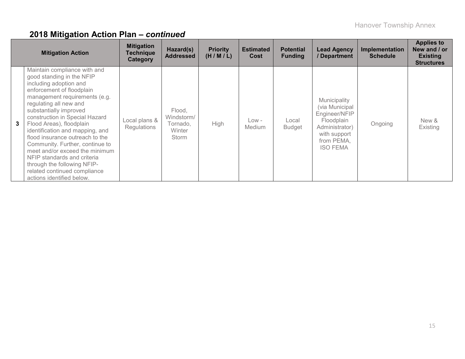|   | <b>Mitigation Action</b>                                                                                                                                                                                                                                                                                                                                                                                                                                                                                                                  | <b>Mitigation</b><br><b>Technique</b><br>Category | Hazard(s)<br><b>Addressed</b>                       | <b>Priority</b><br>(H/M/L) | <b>Estimated</b><br>Cost | <b>Potential</b><br><b>Funding</b> | <b>Lead Agency</b><br>/ Department                                                                                               | Implementation<br><b>Schedule</b> | <b>Applies to</b><br>New and / or<br><b>Existing</b><br><b>Structures</b> |
|---|-------------------------------------------------------------------------------------------------------------------------------------------------------------------------------------------------------------------------------------------------------------------------------------------------------------------------------------------------------------------------------------------------------------------------------------------------------------------------------------------------------------------------------------------|---------------------------------------------------|-----------------------------------------------------|----------------------------|--------------------------|------------------------------------|----------------------------------------------------------------------------------------------------------------------------------|-----------------------------------|---------------------------------------------------------------------------|
| 3 | Maintain compliance with and<br>good standing in the NFIP<br>including adoption and<br>enforcement of floodplain<br>management requirements (e.g.<br>regulating all new and<br>substantially improved<br>construction in Special Hazard<br>Flood Areas), floodplain<br>identification and mapping, and<br>flood insurance outreach to the<br>Community. Further, continue to<br>meet and/or exceed the minimum<br>NFIP standards and criteria<br>through the following NFIP-<br>related continued compliance<br>actions identified below. | Local plans &<br>Regulations                      | Flood,<br>Windstorm/<br>Tornado,<br>Winter<br>Storm | High                       | Low -<br><b>Medium</b>   | Local<br><b>Budget</b>             | Municipality<br>(via Municipal<br>Engineer/NFIP<br>Floodplain<br>Administrator)<br>with support<br>from PEMA,<br><b>ISO FEMA</b> | Ongoing                           | New &<br>Existing                                                         |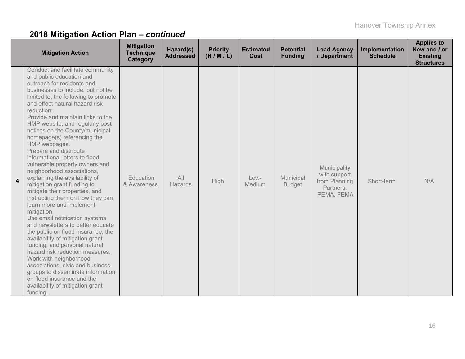|   | <b>Mitigation Action</b>                                                                                                                                                                                                                                                                                                                                                                                                                                                                                                                                                                                                                                                                                                                                                                                                                                                                                                                                                                                                                                                                               | <b>Mitigation</b><br><b>Technique</b><br>Category | Hazard(s)<br><b>Addressed</b> | <b>Priority</b><br>(H/M/L) | <b>Estimated</b><br><b>Cost</b> | <b>Potential</b><br><b>Funding</b> | <b>Lead Agency</b><br>/ Department                                       | Implementation<br><b>Schedule</b> | <b>Applies to</b><br>New and / or<br><b>Existing</b><br><b>Structures</b> |
|---|--------------------------------------------------------------------------------------------------------------------------------------------------------------------------------------------------------------------------------------------------------------------------------------------------------------------------------------------------------------------------------------------------------------------------------------------------------------------------------------------------------------------------------------------------------------------------------------------------------------------------------------------------------------------------------------------------------------------------------------------------------------------------------------------------------------------------------------------------------------------------------------------------------------------------------------------------------------------------------------------------------------------------------------------------------------------------------------------------------|---------------------------------------------------|-------------------------------|----------------------------|---------------------------------|------------------------------------|--------------------------------------------------------------------------|-----------------------------------|---------------------------------------------------------------------------|
| 4 | Conduct and facilitate community<br>and public education and<br>outreach for residents and<br>businesses to include, but not be<br>limited to, the following to promote<br>and effect natural hazard risk<br>reduction:<br>Provide and maintain links to the<br>HMP website, and regularly post<br>notices on the County/municipal<br>homepage(s) referencing the<br>HMP webpages.<br>Prepare and distribute<br>informational letters to flood<br>vulnerable property owners and<br>neighborhood associations,<br>explaining the availability of<br>mitigation grant funding to<br>mitigate their properties, and<br>instructing them on how they can<br>learn more and implement<br>mitigation.<br>Use email notification systems<br>and newsletters to better educate<br>the public on flood insurance, the<br>availability of mitigation grant<br>funding, and personal natural<br>hazard risk reduction measures.<br>Work with neighborhood<br>associations, civic and business<br>groups to disseminate information<br>on flood insurance and the<br>availability of mitigation grant<br>funding. | Education<br>& Awareness                          | All<br>Hazards                | <b>High</b>                | Low-<br>Medium                  | Municipal<br><b>Budget</b>         | Municipality<br>with support<br>from Planning<br>Partners,<br>PEMA, FEMA | Short-term                        | N/A                                                                       |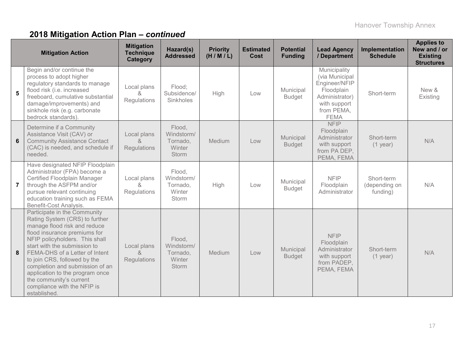|                | <b>Mitigation Action</b>                                                                                                                                                                                                                                                                                                                                                                                           | <b>Mitigation</b><br><b>Technique</b><br>Category | Hazard(s)<br><b>Addressed</b>                       | <b>Priority</b><br>(H/M/L) | <b>Estimated</b><br>Cost | <b>Potential</b><br><b>Funding</b> | <b>Lead Agency</b><br>/ Department                                                                                           | Implementation<br><b>Schedule</b>       | <b>Applies to</b><br>New and / or<br><b>Existing</b><br><b>Structures</b> |
|----------------|--------------------------------------------------------------------------------------------------------------------------------------------------------------------------------------------------------------------------------------------------------------------------------------------------------------------------------------------------------------------------------------------------------------------|---------------------------------------------------|-----------------------------------------------------|----------------------------|--------------------------|------------------------------------|------------------------------------------------------------------------------------------------------------------------------|-----------------------------------------|---------------------------------------------------------------------------|
| 5              | Begin and/or continue the<br>process to adopt higher<br>regulatory standards to manage<br>flood risk (i.e. increased<br>freeboard, cumulative substantial<br>damage/improvements) and<br>sinkhole risk (e.g. carbonate<br>bedrock standards)                                                                                                                                                                       | Local plans<br>&<br>Regulations                   | Flood:<br>Subsidence/<br>Sinkholes                  | <b>High</b>                | Low                      | Municipal<br><b>Budget</b>         | Municipality<br>(via Municipal<br>Engineer/NFIP<br>Floodplain<br>Administrator)<br>with support<br>from PEMA,<br><b>FEMA</b> | Short-term                              | New &<br>Existing                                                         |
| 6              | Determine if a Community<br>Assistance Visit (CAV) or<br><b>Community Assistance Contact</b><br>(CAC) is needed, and schedule if<br>needed.                                                                                                                                                                                                                                                                        | Local plans<br>ୡ<br>Regulations                   | Flood,<br>Windstorm/<br>Tornado,<br>Winter<br>Storm | Medium                     | Low                      | Municipal<br><b>Budget</b>         | <b>NFIP</b><br>Floodplain<br>Administrator<br>with support<br>from PA DEP,<br>PEMA, FEMA                                     | Short-term<br>$(1$ year)                | N/A                                                                       |
| $\overline{7}$ | Have designated NFIP Floodplain<br>Administrator (FPA) become a<br>Certified Floodplain Manager<br>through the ASFPM and/or<br>pursue relevant continuing<br>education training such as FEMA<br>Benefit-Cost Analysis.                                                                                                                                                                                             | Local plans<br>&<br>Regulations                   | Flood,<br>Windstorm/<br>Tornado,<br>Winter<br>Storm | High                       | Low                      | Municipal<br><b>Budget</b>         | <b>NFIP</b><br>Floodplain<br>Administrator                                                                                   | Short-term<br>(depending on<br>funding) | N/A                                                                       |
| 8              | Participate in the Community<br>Rating System (CRS) to further<br>manage flood risk and reduce<br>flood insurance premiums for<br>NFIP policyholders. This shall<br>start with the submission to<br>FEMA-DHS of a Letter of Intent<br>to join CRS, followed by the<br>completion and submission of an<br>application to the program once<br>the community's current<br>compliance with the NFIP is<br>established. | Local plans<br>&<br>Regulations                   | Flood,<br>Windstorm/<br>Tornado,<br>Winter<br>Storm | Medium                     | Low                      | Municipal<br><b>Budget</b>         | <b>NFIP</b><br>Floodplain<br>Administrator<br>with support<br>from PADEP,<br>PEMA, FEMA                                      | Short-term<br>$(1$ year)                | N/A                                                                       |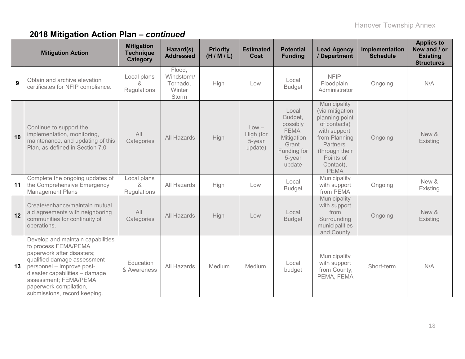|    | <b>Mitigation Action</b>                                                                                                                                                                                                                                                 | <b>Mitigation</b><br><b>Technique</b><br>Category | Hazard(s)<br><b>Addressed</b>                       | <b>Priority</b><br>(H/M/L) | <b>Estimated</b><br>Cost                  | <b>Potential</b><br><b>Funding</b>                                                                    | <b>Lead Agency</b><br>/ Department                                                                                                                                        | Implementation<br><b>Schedule</b> | <b>Applies to</b><br>New and / or<br><b>Existing</b><br><b>Structures</b> |
|----|--------------------------------------------------------------------------------------------------------------------------------------------------------------------------------------------------------------------------------------------------------------------------|---------------------------------------------------|-----------------------------------------------------|----------------------------|-------------------------------------------|-------------------------------------------------------------------------------------------------------|---------------------------------------------------------------------------------------------------------------------------------------------------------------------------|-----------------------------------|---------------------------------------------------------------------------|
| 9  | Obtain and archive elevation<br>certificates for NFIP compliance.                                                                                                                                                                                                        | Local plans<br>&<br>Regulations                   | Flood,<br>Windstorm/<br>Tornado,<br>Winter<br>Storm | High                       | Low                                       | Local<br><b>Budget</b>                                                                                | <b>NFIP</b><br>Floodplain<br>Administrator                                                                                                                                | Ongoing                           | N/A                                                                       |
| 10 | Continue to support the<br>implementation, monitoring,<br>maintenance, and updating of this<br>Plan, as defined in Section 7.0                                                                                                                                           | All<br>Categories                                 | All Hazards                                         | High                       | $Low -$<br>High (for<br>5-year<br>update) | Local<br>Budget,<br>possibly<br><b>FEMA</b><br>Mitigation<br>Grant<br>Funding for<br>5-year<br>update | Municipality<br>(via mitigation<br>planning point<br>of contacts)<br>with support<br>from Planning<br>Partners<br>(through their<br>Points of<br>Contact),<br><b>PEMA</b> | Ongoing                           | New &<br>Existing                                                         |
| 11 | Complete the ongoing updates of<br>the Comprehensive Emergency<br><b>Management Plans</b>                                                                                                                                                                                | Local plans<br>$\alpha$<br>Regulations            | All Hazards                                         | High                       | Low                                       | Local<br><b>Budget</b>                                                                                | Municipality<br>with support<br>from PEMA                                                                                                                                 | Ongoing                           | New &<br>Existing                                                         |
| 12 | Create/enhance/maintain mutual<br>aid agreements with neighboring<br>communities for continuity of<br>operations.                                                                                                                                                        | All<br>Categories                                 | All Hazards                                         | High                       | Low                                       | Local<br><b>Budget</b>                                                                                | Municipality<br>with support<br>from<br>Surrounding<br>municipalities<br>and County                                                                                       | Ongoing                           | New &<br>Existing                                                         |
| 13 | Develop and maintain capabilities<br>to process FEMA/PEMA<br>paperwork after disasters;<br>qualified damage assessment<br>personnel - Improve post-<br>disaster capabilities - damage<br>assessment; FEMA/PEMA<br>paperwork compilation,<br>submissions, record keeping. | Education<br>& Awareness                          | All Hazards                                         | Medium                     | Medium                                    | Local<br>budget                                                                                       | Municipality<br>with support<br>from County,<br>PEMA, FEMA                                                                                                                | Short-term                        | N/A                                                                       |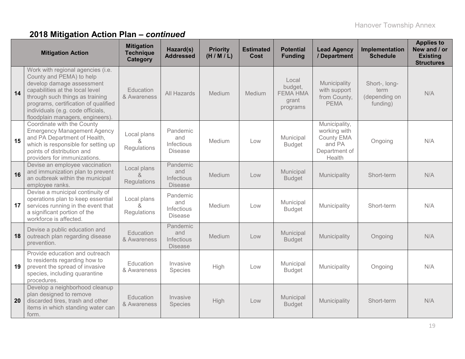|    | <b>Mitigation Action</b>                                                                                                                                                                                                                                                          | <b>Mitigation</b><br><b>Technique</b><br>Category        | Hazard(s)<br><b>Addressed</b>                   | <b>Priority</b><br>(H/M/L) | <b>Estimated</b><br>Cost | <b>Potential</b><br><b>Funding</b>                       | <b>Lead Agency</b><br>/ Department                                               | Implementation<br><b>Schedule</b>                  | <b>Applies to</b><br>New and / or<br><b>Existing</b><br><b>Structures</b> |
|----|-----------------------------------------------------------------------------------------------------------------------------------------------------------------------------------------------------------------------------------------------------------------------------------|----------------------------------------------------------|-------------------------------------------------|----------------------------|--------------------------|----------------------------------------------------------|----------------------------------------------------------------------------------|----------------------------------------------------|---------------------------------------------------------------------------|
| 14 | Work with regional agencies (i.e.<br>County and PEMA) to help<br>develop damage assessment<br>capabilities at the local level<br>through such things as training<br>programs, certification of qualified<br>individuals (e.g. code officials,<br>floodplain managers, engineers). | Education<br>& Awareness                                 | <b>All Hazards</b>                              | Medium                     | Medium                   | Local<br>budget,<br><b>FEMA HMA</b><br>grant<br>programs | Municipality<br>with support<br>from County,<br><b>PEMA</b>                      | Short-, long-<br>term<br>(depending on<br>funding) | N/A                                                                       |
| 15 | Coordinate with the County<br><b>Emergency Management Agency</b><br>and PA Department of Health,<br>which is responsible for setting up<br>points of distribution and<br>providers for immunizations.                                                                             | Local plans<br>Regulations                               | Pandemic<br>and<br>Infectious<br><b>Disease</b> | Medium                     | Low                      | Municipal<br><b>Budget</b>                               | Municipality,<br>working with<br>County EMA<br>and PA<br>Department of<br>Health | Ongoing                                            | N/A                                                                       |
| 16 | Devise an employee vaccination<br>and immunization plan to prevent<br>an outbreak within the municipal<br>employee ranks.                                                                                                                                                         | Local plans<br>$\mathcal{R}_{\mathbf{z}}$<br>Regulations | Pandemic<br>and<br>Infectious<br><b>Disease</b> | Medium                     | Low                      | Municipal<br><b>Budget</b>                               | Municipality                                                                     | Short-term                                         | N/A                                                                       |
| 17 | Devise a municipal continuity of<br>operations plan to keep essential<br>services running in the event that<br>a significant portion of the<br>workforce is affected.                                                                                                             | Local plans<br>$\mathcal{R}_{\mathbf{z}}$<br>Regulations | Pandemic<br>and<br>Infectious<br><b>Disease</b> | Medium                     | Low                      | Municipal<br><b>Budget</b>                               | Municipality                                                                     | Short-term                                         | N/A                                                                       |
| 18 | Devise a public education and<br>outreach plan regarding disease<br>prevention.                                                                                                                                                                                                   | Education<br>& Awareness                                 | Pandemic<br>and<br>Infectious<br><b>Disease</b> | Medium                     | Low                      | Municipal<br><b>Budget</b>                               | Municipality                                                                     | Ongoing                                            | N/A                                                                       |
| 19 | Provide education and outreach<br>to residents regarding how to<br>prevent the spread of invasive<br>species, including quarantine<br>procedures.                                                                                                                                 | Education<br>& Awareness                                 | Invasive<br>Species                             | High                       | Low                      | Municipal<br><b>Budget</b>                               | Municipality                                                                     | Ongoing                                            | N/A                                                                       |
| 20 | Develop a neighborhood cleanup<br>plan designed to remove<br>discarded tires, trash and other<br>items in which standing water can<br>form.                                                                                                                                       | Education<br>& Awareness                                 | Invasive<br>Species                             | High                       | Low                      | Municipal<br><b>Budget</b>                               | Municipality                                                                     | Short-term                                         | N/A                                                                       |